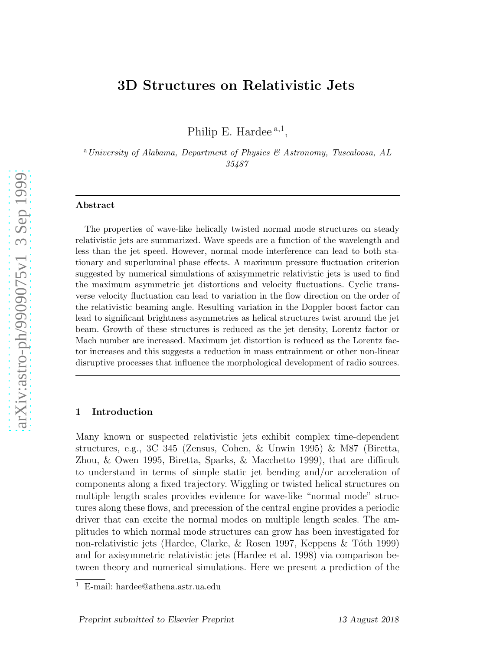# 3D Structures on Relativistic Jets

Philip E. Hardee<sup>a,1</sup>,

<sup>a</sup> University of Alabama, Department of Physics & Astronomy, Tuscaloosa, AL 35487

#### Abstract

The properties of wave-like helically twisted normal mode structures on steady relativistic jets are summarized. Wave speeds are a function of the wavelength and less than the jet speed. However, normal mode interference can lead to both stationary and superluminal phase effects. A maximum pressure fluctuation criterion suggested by numerical simulations of axisymmetric relativistic jets is used to find the maximum asymmetric jet distortions and velocity fluctuations. Cyclic transverse velocity fluctuation can lead to variation in the flow direction on the order of the relativistic beaming angle. Resulting variation in the Doppler boost factor can lead to significant brightness asymmetries as helical structures twist around the jet beam. Growth of these structures is reduced as the jet density, Lorentz factor or Mach number are increased. Maximum jet distortion is reduced as the Lorentz factor increases and this suggests a reduction in mass entrainment or other non-linear disruptive processes that influence the morphological development of radio sources.

### 1 Introduction

Many known or suspected relativistic jets exhibit complex time-dependent structures, e.g., 3C 345 (Zensus, Cohen, & Unwin 1995) & M87 (Biretta, Zhou, & Owen 1995, Biretta, Sparks, & Macchetto 1999), that are difficult to understand in terms of simple static jet bending and/or acceleration of components along a fixed trajectory. Wiggling or twisted helical structures on multiple length scales provides evidence for wave-like "normal mode" structures along these flows, and precession of the central engine provides a periodic driver that can excite the normal modes on multiple length scales. The amplitudes to which normal mode structures can grow has been investigated for non-relativistic jets (Hardee, Clarke, & Rosen 1997, Keppens & T´oth 1999) and for axisymmetric relativistic jets (Hardee et al. 1998) via comparison between theory and numerical simulations. Here we present a prediction of the

<sup>1</sup> E-mail: hardee@athena.astr.ua.edu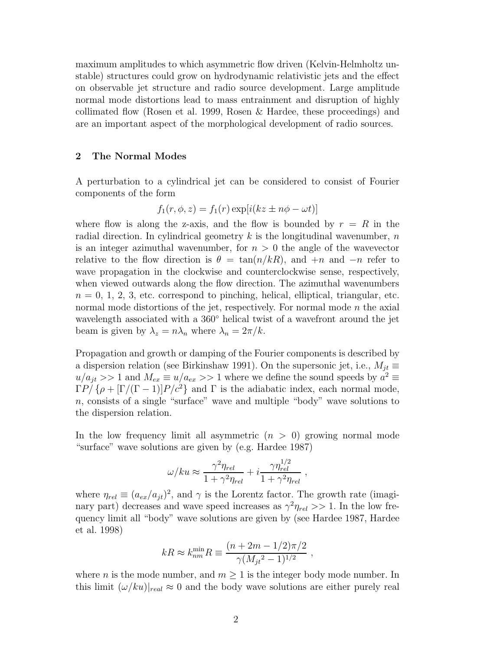maximum amplitudes to which asymmetric flow driven (Kelvin-Helmholtz unstable) structures could grow on hydrodynamic relativistic jets and the effect on observable jet structure and radio source development. Large amplitude normal mode distortions lead to mass entrainment and disruption of highly collimated flow (Rosen et al. 1999, Rosen & Hardee, these proceedings) and are an important aspect of the morphological development of radio sources.

### 2 The Normal Modes

A perturbation to a cylindrical jet can be considered to consist of Fourier components of the form

$$
f_1(r, \phi, z) = f_1(r) \exp[i(kz \pm n\phi - \omega t)]
$$

where flow is along the z-axis, and the flow is bounded by  $r = R$  in the radial direction. In cylindrical geometry  $k$  is the longitudinal wavenumber,  $n$ is an integer azimuthal wavenumber, for  $n > 0$  the angle of the wavevector relative to the flow direction is  $\theta = \tan(n/kR)$ , and  $+n$  and  $-n$  refer to wave propagation in the clockwise and counterclockwise sense, respectively, when viewed outwards along the flow direction. The azimuthal wavenumbers  $n = 0, 1, 2, 3$ , etc. correspond to pinching, helical, elliptical, triangular, etc. normal mode distortions of the jet, respectively. For normal mode  $n$  the axial wavelength associated with a 360◦ helical twist of a wavefront around the jet beam is given by  $\lambda_z = n\lambda_n$  where  $\lambda_n = 2\pi/k$ .

Propagation and growth or damping of the Fourier components is described by a dispersion relation (see Birkinshaw 1991). On the supersonic jet, i.e.,  $M_{jt} \equiv$  $u/a_{jt} >> 1$  and  $M_{ex} \equiv u/a_{ex} >> 1$  where we define the sound speeds by  $a^2 \equiv$  $\Gamma P / \{\rho + [\Gamma/(\Gamma - 1)]P/c^2\}$  and  $\Gamma$  is the adiabatic index, each normal mode,  $n$ , consists of a single "surface" wave and multiple "body" wave solutions to the dispersion relation.

In the low frequency limit all asymmetric  $(n > 0)$  growing normal mode "surface" wave solutions are given by (e.g. Hardee 1987)

$$
\omega/ku \approx \frac{\gamma^2 \eta_{rel}}{1 + \gamma^2 \eta_{rel}} + i \frac{\gamma \eta_{rel}^{1/2}}{1 + \gamma^2 \eta_{rel}} ,
$$

where  $\eta_{rel} \equiv (a_{ex}/a_{jt})^2$ , and  $\gamma$  is the Lorentz factor. The growth rate (imaginary part) decreases and wave speed increases as  $\gamma^2 \eta_{rel} >> 1$ . In the low frequency limit all "body" wave solutions are given by (see Hardee 1987, Hardee et al. 1998)

$$
kR \approx k_{nm}^{\min} R \equiv \frac{(n+2m-1/2)\pi/2}{\gamma (M_{jt}^2-1)^{1/2}} \;,
$$

where *n* is the mode number, and  $m > 1$  is the integer body mode number. In this limit  $(\omega/ku)|_{real} \approx 0$  and the body wave solutions are either purely real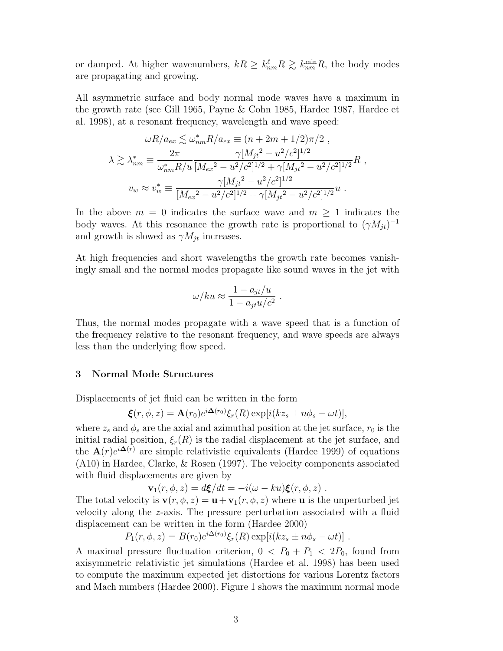or damped. At higher wavenumbers,  $kR \geq k_{nm}^{\ell}R \gtrsim k_{nm}^{\min}R$ , the body modes are propagating and growing.

All asymmetric surface and body normal mode waves have a maximum in the growth rate (see Gill 1965, Payne & Cohn 1985, Hardee 1987, Hardee et al. 1998), at a resonant frequency, wavelength and wave speed:

$$
\omega R/a_{ex} \lesssim \omega_{nm}^* R/a_{ex} \equiv (n + 2m + 1/2)\pi/2 ,
$$
  

$$
\lambda \gtrsim \lambda_{nm}^* \equiv \frac{2\pi}{\omega_{nm}^* R/u} \frac{\gamma [M_{jt}^2 - u^2/c^2]^{1/2}}{[M_{ex}^2 - u^2/c^2]^{1/2} + \gamma [M_{jt}^2 - u^2/c^2]^{1/2}} R ,
$$
  

$$
v_w \approx v_w^* \equiv \frac{\gamma [M_{jt}^2 - u^2/c^2]^{1/2}}{[M_{ex}^2 - u^2/c^2]^{1/2} + \gamma [M_{jt}^2 - u^2/c^2]^{1/2}} u .
$$

In the above  $m = 0$  indicates the surface wave and  $m \geq 1$  indicates the body waves. At this resonance the growth rate is proportional to  $(\gamma M_{jt})^{-1}$ and growth is slowed as  $\gamma M_{jt}$  increases.

At high frequencies and short wavelengths the growth rate becomes vanishingly small and the normal modes propagate like sound waves in the jet with

$$
\omega/ku \approx \frac{1 - a_{jt}/u}{1 - a_{jt}u/c^2} .
$$

Thus, the normal modes propagate with a wave speed that is a function of the frequency relative to the resonant frequency, and wave speeds are always less than the underlying flow speed.

### 3 Normal Mode Structures

Displacements of jet fluid can be written in the form

$$
\boldsymbol{\xi}(r,\phi,z) = \mathbf{A}(r_0) e^{i\mathbf{\Delta}(r_0)} \xi_r(R) \exp[i(kz_s \pm n\phi_s - \omega t)],
$$

where  $z_s$  and  $\phi_s$  are the axial and azimuthal position at the jet surface,  $r_0$  is the initial radial position,  $\xi_r(R)$  is the radial displacement at the jet surface, and the  $\mathbf{A}(r)e^{i\mathbf{\Delta}(r)}$  are simple relativistic equivalents (Hardee 1999) of equations (A10) in Hardee, Clarke, & Rosen (1997). The velocity components associated with fluid displacements are given by

$$
\mathbf{v}_1(r,\phi,z) = d\xi/dt = -i(\omega - ku)\xi(r,\phi,z) .
$$

The total velocity is  $\mathbf{v}(r, \phi, z) = \mathbf{u} + \mathbf{v}_1(r, \phi, z)$  where **u** is the unperturbed jet velocity along the z-axis. The pressure perturbation associated with a fluid displacement can be written in the form (Hardee 2000)

$$
P_1(r, \phi, z) = B(r_0)e^{i\Delta(r_0)}\xi_r(R)\exp[i(kz_s \pm n\phi_s - \omega t)].
$$

A maximal pressure fluctuation criterion,  $0 < P_0 + P_1 < 2P_0$ , found from axisymmetric relativistic jet simulations (Hardee et al. 1998) has been used to compute the maximum expected jet distortions for various Lorentz factors and Mach numbers (Hardee 2000). Figure 1 shows the maximum normal mode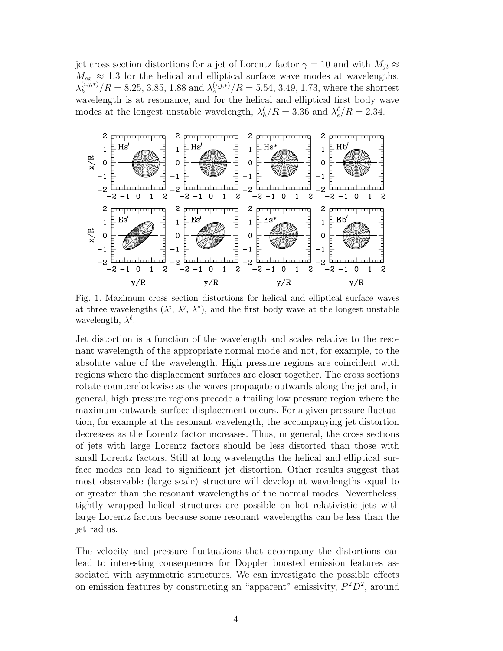jet cross section distortions for a jet of Lorentz factor  $\gamma = 10$  and with  $M_{jt} \approx$  $M_{ex} \approx 1.3$  for the helical and elliptical surface wave modes at wavelengths,  $\lambda_h^{(i,j,*)}$  $\lambda_h^{(i,j,*)} / R = 8.25, 3.85, 1.88$  and  $\lambda_e^{(i,j,*)} / R = 5.54, 3.49, 1.73$ , where the shortest wavelength is at resonance, and for the helical and elliptical first body wave modes at the longest unstable wavelength,  $\lambda_h^{\ell}/R = 3.36$  and  $\lambda_e^{\ell}/R = 2.34$ .



Fig. 1. Maximum cross section distortions for helical and elliptical surface waves at three wavelengths  $(\lambda^i, \lambda^j, \lambda^*)$ , and the first body wave at the longest unstable wavelength,  $\lambda^{\ell}$ .

Jet distortion is a function of the wavelength and scales relative to the resonant wavelength of the appropriate normal mode and not, for example, to the absolute value of the wavelength. High pressure regions are coincident with regions where the displacement surfaces are closer together. The cross sections rotate counterclockwise as the waves propagate outwards along the jet and, in general, high pressure regions precede a trailing low pressure region where the maximum outwards surface displacement occurs. For a given pressure fluctuation, for example at the resonant wavelength, the accompanying jet distortion decreases as the Lorentz factor increases. Thus, in general, the cross sections of jets with large Lorentz factors should be less distorted than those with small Lorentz factors. Still at long wavelengths the helical and elliptical surface modes can lead to significant jet distortion. Other results suggest that most observable (large scale) structure will develop at wavelengths equal to or greater than the resonant wavelengths of the normal modes. Nevertheless, tightly wrapped helical structures are possible on hot relativistic jets with large Lorentz factors because some resonant wavelengths can be less than the jet radius.

The velocity and pressure fluctuations that accompany the distortions can lead to interesting consequences for Doppler boosted emission features associated with asymmetric structures. We can investigate the possible effects on emission features by constructing an "apparent" emissivity,  $P^2D^2$ , around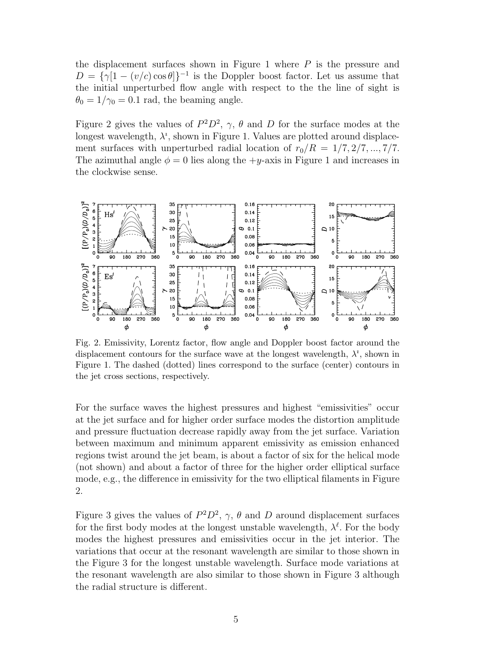the displacement surfaces shown in Figure 1 where  $P$  is the pressure and  $D = {\gamma[1 - (v/c)\cos\theta]}^{-1}$  is the Doppler boost factor. Let us assume that the initial unperturbed flow angle with respect to the the line of sight is  $\theta_0 = 1/\gamma_0 = 0.1$  rad, the beaming angle.

Figure 2 gives the values of  $P^2D^2$ ,  $\gamma$ ,  $\theta$  and D for the surface modes at the longest wavelength,  $\lambda^i$ , shown in Figure 1. Values are plotted around displacement surfaces with unperturbed radial location of  $r_0/R = 1/7, 2/7, ..., 7/7$ . The azimuthal angle  $\phi = 0$  lies along the  $+y$ -axis in Figure 1 and increases in the clockwise sense.



Fig. 2. Emissivity, Lorentz factor, flow angle and Doppler boost factor around the displacement contours for the surface wave at the longest wavelength,  $\lambda^i$ , shown in Figure 1. The dashed (dotted) lines correspond to the surface (center) contours in the jet cross sections, respectively.

For the surface waves the highest pressures and highest "emissivities" occur at the jet surface and for higher order surface modes the distortion amplitude and pressure fluctuation decrease rapidly away from the jet surface. Variation between maximum and minimum apparent emissivity as emission enhanced regions twist around the jet beam, is about a factor of six for the helical mode (not shown) and about a factor of three for the higher order elliptical surface mode, e.g., the difference in emissivity for the two elliptical filaments in Figure 2.

Figure 3 gives the values of  $P^2D^2$ ,  $\gamma$ ,  $\theta$  and D around displacement surfaces for the first body modes at the longest unstable wavelength,  $\lambda^{\ell}$ . For the body modes the highest pressures and emissivities occur in the jet interior. The variations that occur at the resonant wavelength are similar to those shown in the Figure 3 for the longest unstable wavelength. Surface mode variations at the resonant wavelength are also similar to those shown in Figure 3 although the radial structure is different.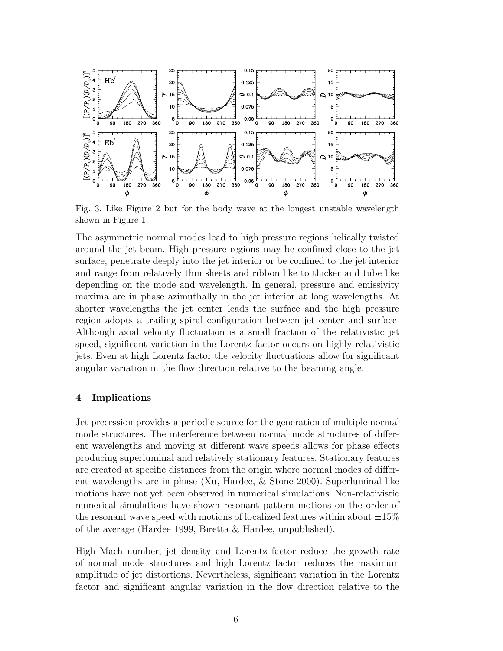

Fig. 3. Like Figure 2 but for the body wave at the longest unstable wavelength shown in Figure 1.

The asymmetric normal modes lead to high pressure regions helically twisted around the jet beam. High pressure regions may be confined close to the jet surface, penetrate deeply into the jet interior or be confined to the jet interior and range from relatively thin sheets and ribbon like to thicker and tube like depending on the mode and wavelength. In general, pressure and emissivity maxima are in phase azimuthally in the jet interior at long wavelengths. At shorter wavelengths the jet center leads the surface and the high pressure region adopts a trailing spiral configuration between jet center and surface. Although axial velocity fluctuation is a small fraction of the relativistic jet speed, significant variation in the Lorentz factor occurs on highly relativistic jets. Even at high Lorentz factor the velocity fluctuations allow for significant angular variation in the flow direction relative to the beaming angle.

# 4 Implications

Jet precession provides a periodic source for the generation of multiple normal mode structures. The interference between normal mode structures of different wavelengths and moving at different wave speeds allows for phase effects producing superluminal and relatively stationary features. Stationary features are created at specific distances from the origin where normal modes of different wavelengths are in phase (Xu, Hardee, & Stone 2000). Superluminal like motions have not yet been observed in numerical simulations. Non-relativistic numerical simulations have shown resonant pattern motions on the order of the resonant wave speed with motions of localized features within about  $\pm 15\%$ of the average (Hardee 1999, Biretta & Hardee, unpublished).

High Mach number, jet density and Lorentz factor reduce the growth rate of normal mode structures and high Lorentz factor reduces the maximum amplitude of jet distortions. Nevertheless, significant variation in the Lorentz factor and significant angular variation in the flow direction relative to the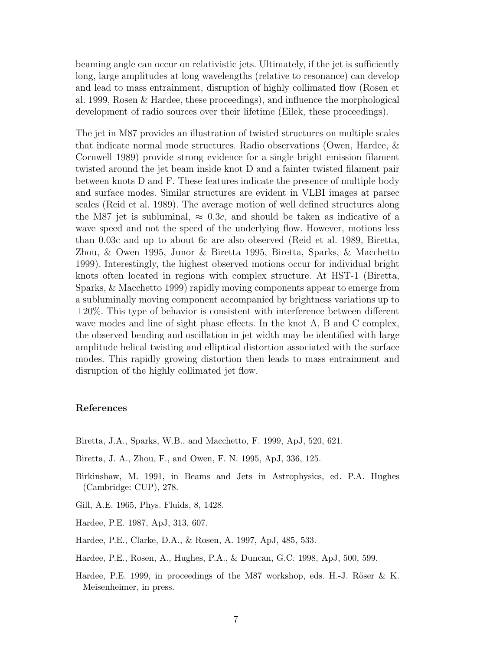beaming angle can occur on relativistic jets. Ultimately, if the jet is sufficiently long, large amplitudes at long wavelengths (relative to resonance) can develop and lead to mass entrainment, disruption of highly collimated flow (Rosen et al. 1999, Rosen & Hardee, these proceedings), and influence the morphological development of radio sources over their lifetime (Eilek, these proceedings).

The jet in M87 provides an illustration of twisted structures on multiple scales that indicate normal mode structures. Radio observations (Owen, Hardee, & Cornwell 1989) provide strong evidence for a single bright emission filament twisted around the jet beam inside knot D and a fainter twisted filament pair between knots D and F. These features indicate the presence of multiple body and surface modes. Similar structures are evident in VLBI images at parsec scales (Reid et al. 1989). The average motion of well defined structures along the M87 jet is subluminal,  $\approx 0.3c$ , and should be taken as indicative of a wave speed and not the speed of the underlying flow. However, motions less than 0.03c and up to about 6c are also observed (Reid et al. 1989, Biretta, Zhou, & Owen 1995, Junor & Biretta 1995, Biretta, Sparks, & Macchetto 1999). Interestingly, the highest observed motions occur for individual bright knots often located in regions with complex structure. At HST-1 (Biretta, Sparks, & Macchetto 1999) rapidly moving components appear to emerge from a subluminally moving component accompanied by brightness variations up to  $\pm 20\%$ . This type of behavior is consistent with interference between different wave modes and line of sight phase effects. In the knot A, B and C complex, the observed bending and oscillation in jet width may be identified with large amplitude helical twisting and elliptical distortion associated with the surface modes. This rapidly growing distortion then leads to mass entrainment and disruption of the highly collimated jet flow.

# References

- Biretta, J.A., Sparks, W.B., and Macchetto, F. 1999, ApJ, 520, 621.
- Biretta, J. A., Zhou, F., and Owen, F. N. 1995, ApJ, 336, 125.
- Birkinshaw, M. 1991, in Beams and Jets in Astrophysics, ed. P.A. Hughes (Cambridge: CUP), 278.
- Gill, A.E. 1965, Phys. Fluids, 8, 1428.
- Hardee, P.E. 1987, ApJ, 313, 607.
- Hardee, P.E., Clarke, D.A., & Rosen, A. 1997, ApJ, 485, 533.

Hardee, P.E., Rosen, A., Hughes, P.A., & Duncan, G.C. 1998, ApJ, 500, 599.

Hardee, P.E. 1999, in proceedings of the M87 workshop, eds. H.-J. Röser  $\&$  K. Meisenheimer, in press.